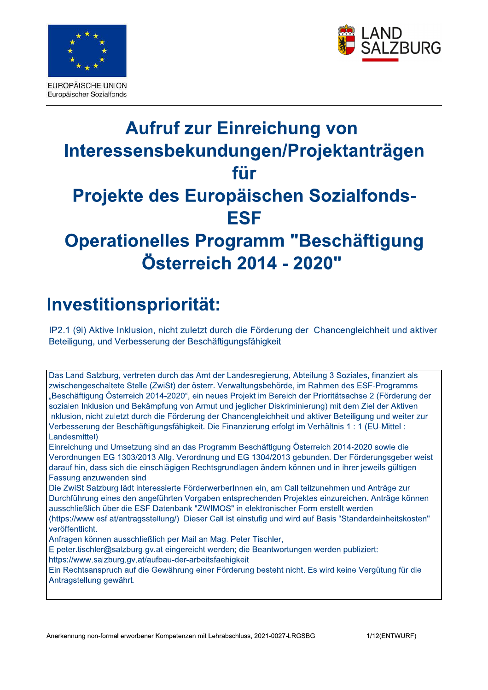



# Aufruf zur Einreichung von Interessensbekundungen/Projektantragen für **Projekte des Europaischen Sozialtonds-**ESF<br>Operationelles Programm "Beschäftigung **Osterrel** Everythischer Social Cross<br> **Aufruit zur Einreichung von<br>
Interessensbekundungen/Projektanträgen<br>
Für<br>
Projekte des Europäischen Sozialfonds-<br>
ESF<br>
Operationelles Programm "Beschäftigung<br>
Österreich 2014 - 2020"<br>
Investiti**

# Investitionspriorität:

 $+$ IP2.1 (9i) Aktive Inklusion, nicht zuletzt durch die Förderung der Chancengleichheit und aktiver Beteiligung, und Verbesserung der Beschäftigungsfähigkeit

Das Land Salzburg, vertreten durch das Amt der Landesregierung, Abteilung 3 Soziales, finanziert als zwischengeschaltete Stelle (ZwiSt) der österr. Verwaltungsbehörde, im Rahmen des ESF-Programms "Beschäftigung Österreich 2014-2020", ein neues Projekt im Bereich der Prioritätsachse 2 (Förderung der sozialen Inklusion und Bekämpfung von Armut und jeglicher Diskriminierung) mit dem Ziel der Aktiven Inklusion, nicht zuletzt durch die Förderung der Chancengleichheit und aktiver Beteiligung und weiter zur Verbesserung der Beschäftigungsfähigkeit. Die Finanzierung erfolgt im Verhältnis 1:1 (EU-Mittel: Landesmittel).

Einreichung und Umsetzung sind an das Programm Beschäftigung Österreich 2014-2020 sowie die Verordnungen EG 1303/2013 Allg. Verordnung und EG 1304/2013 gebunden. Der Förderungsgeber weist darauf hin, dass sich die einschlägigen Rechtsgrundlagen ändern können und in ihrer jeweils gültigen Fassung anzuwenden sind.

Die ZwiSt Salzburg lädt interessierte FörderwerberInnen ein, am Call teilzunehmen und Anträge zur Durchführung eines den angeführten Vorgaben entsprechenden Projektes einzureichen. Anträge können ausschließlich über die ESF Datenbank "ZWIMOS" in elektronischer Form erstellt werden

(https://www.esf.at/antragsstellung/). Dieser Call ist einstufig und wird auf Basis "Standardeinheitskosten" veröffentlicht.

Anfragen können ausschließlich per Mail an Mag. Peter Tischler,

E peter.tischler@salzburg.gv.at eingereicht werden; die Beantwortungen werden publiziert: https://www.salzburg.gv.at/aufbau-der-arbeitsfaehigkeit

Ein Rechtsanspruch auf die Gewährung einer Förderung besteht nicht. Es wird keine Vergütung für die Antragstellung gewährt.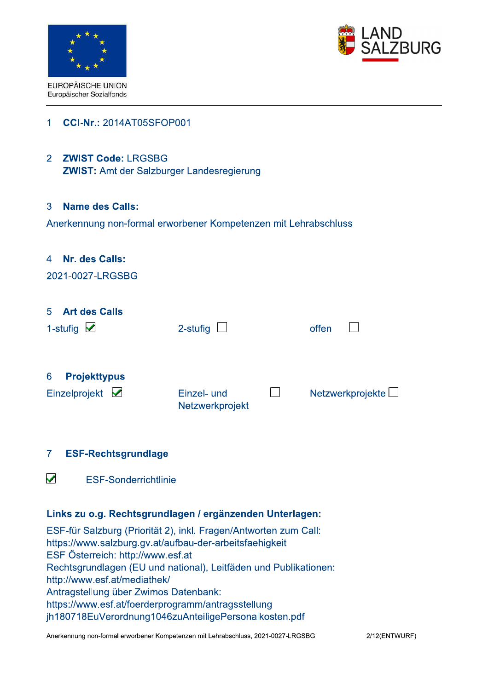



### **CCI-Nr.: 2014AT05SFOP001**  $\overline{1}$

# 2 ZWIST Code: LRGSBG

**ZWIST: Amt der Salzburger Landesregierung** 

### $\overline{3}$ Name des Calls:

Anerkennung non-formal erworbener Kompetenzen mit Lehrabschluss

### $\blacktriangle$ Nr. des Calls:

| 2021-0027-LRGSBG                                       |                                |                         |
|--------------------------------------------------------|--------------------------------|-------------------------|
| <b>Art des Calls</b><br>$5^{\circ}$<br>1-stufig $\vee$ | 2-stufig                       | offen                   |
| 6<br><b>Projekttypus</b><br>Einzelprojekt $\vee$       | Einzel- und<br>Netzwerkprojekt | Netzwerkprojekte $\Box$ |

### $\overline{7}$ **ESF-Rechtsgrundlage**

V **ESF-Sonderrichtlinie** 

# Links zu o.g. Rechtsgrundlagen / ergänzenden Unterlagen:

ESF-für Salzburg (Priorität 2), inkl. Fragen/Antworten zum Call: https://www.salzburg.gv.at/aufbau-der-arbeitsfaehigkeit ESF Österreich: http://www.esf.at Rechtsgrundlagen (EU und national), Leitfäden und Publikationen: http://www.esf.at/mediathek/ Antragstellung über Zwimos Datenbank: https://www.esf.at/foerderprogramm/antragsstellung jh180718EuVerordnung1046zuAnteiligePersonalkosten.pdf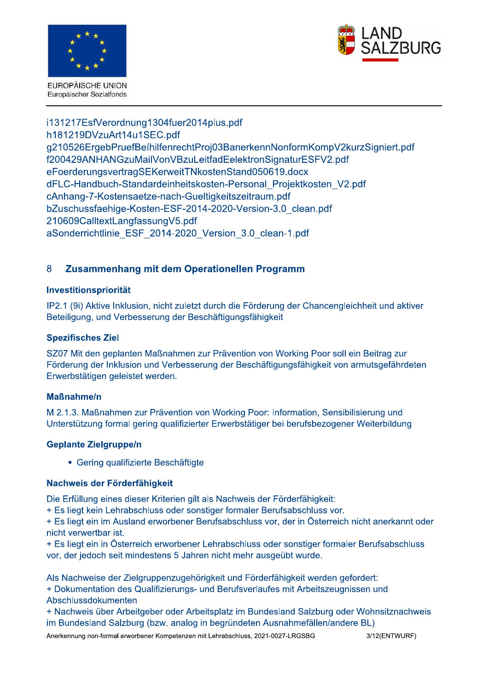



i131217EsfVerordnung1304fuer2014plus.pdf h181219DVzuArt14u1SEC.pdf g210526ErgebPruefBeihilfenrechtProj03BanerkennNonformKompV2kurzSigniert.pdf f200429ANHANGzuMailVonVBzuLeitfadEelektronSignaturESFV2.pdf eFoerderungsvertragSEKerweitTNkostenStand050619.docx dFLC-Handbuch-Standardeinheitskosten-Personal Projektkosten V2.pdf cAnhang-7-Kostensaetze-nach-Gueltigkeitszeitraum.pdf bZuschussfaehige-Kosten-ESF-2014-2020-Version-3.0 clean.pdf 210609CalltextLangfassungV5.pdf aSonderrichtlinie ESF 2014-2020 Version 3.0 clean-1.pdf

### 8 Zusammenhang mit dem Operationellen Programm

### Investitionspriorität

IP2.1 (9i) Aktive Inklusion, nicht zuletzt durch die Förderung der Chancengleichheit und aktiver Beteiligung, und Verbesserung der Beschäftigungsfähigkeit

### **Spezifisches Ziel**

SZ07 Mit den geplanten Maßnahmen zur Prävention von Working Poor soll ein Beitrag zur Förderung der Inklusion und Verbesserung der Beschäftigungsfähigkeit von armutsgefährdeten Erwerbstätigen geleistet werden.

### **Maßnahme/n**

M 2.1.3. Maßnahmen zur Prävention von Working Poor: Information, Sensibilisierung und Unterstützung formal gering qualifizierter Erwerbstätiger bei berufsbezogener Weiterbildung

# **Geplante Zielgruppe/n**

• Gering qualifizierte Beschäftigte

### Nachweis der Förderfähigkeit

Die Erfüllung eines dieser Kriterien gilt als Nachweis der Förderfähigkeit:

+ Es liegt kein Lehrabschluss oder sonstiger formaler Berufsabschluss vor.

+ Es liegt ein im Ausland erworbener Berufsabschluss vor, der in Österreich nicht anerkannt oder nicht verwertbar ist.

+ Es liegt ein in Österreich erworbener Lehrabschluss oder sonstiger formaler Berufsabschluss vor, der jedoch seit mindestens 5 Jahren nicht mehr ausgeübt wurde.

Als Nachweise der Zielgruppenzugehörigkeit und Förderfähigkeit werden gefordert: + Dokumentation des Qualifizierungs- und Berufsverlaufes mit Arbeitszeugnissen und Abschlussdokumenten

+ Nachweis über Arbeitgeber oder Arbeitsplatz im Bundesland Salzburg oder Wohnsitznachweis im Bundesland Salzburg (bzw. analog in begründeten Ausnahmefällen/andere BL)

Anerkennung non-formal erworbener Kompetenzen mit Lehrabschluss, 2021-0027-LRGSBG

3/12(ENTWURF)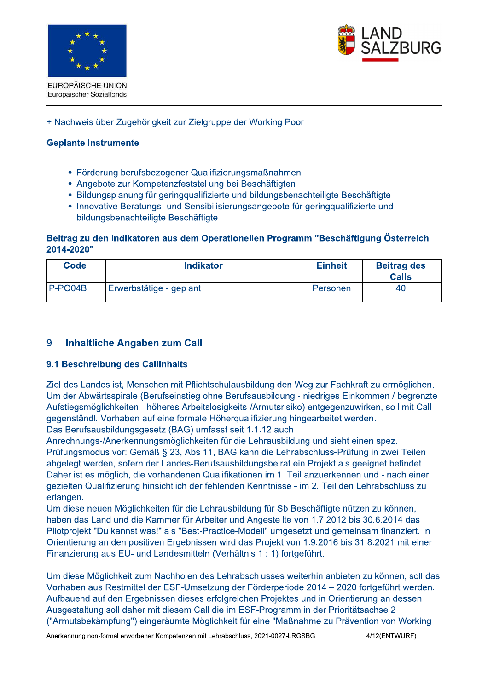

Europäischer Sozialfonds



### + Nachweis über Zugehörigkeit zur Zielgruppe der Working Poor

### **Geplante Instrumente**

- Förderung berufsbezogener Qualifizierungsmaßnahmen
- Angebote zur Kompetenzfeststellung bei Beschäftigten
- Bildungsplanung für geringgualifizierte und bildungsbenachteiligte Beschäftigte
- Innovative Beratungs- und Sensibilisierungsangebote für geringqualifizierte und bildungsbenachteiligte Beschäftigte

### Beitrag zu den Indikatoren aus dem Operationellen Programm "Beschäftigung Österreich 2014-2020"

| <b>Code</b> | <b>Indikator</b>        | <b>Einheit</b> | <b>Beitrag des</b><br><b>Calls</b> |
|-------------|-------------------------|----------------|------------------------------------|
| $P-PO04B$   | Erwerbstätige - geplant | Personen       | 40                                 |

### 9 **Inhaltliche Angaben zum Call**

### 9.1 Beschreibung des Callinhalts

Ziel des Landes ist, Menschen mit Pflichtschulausbildung den Weg zur Fachkraft zu ermöglichen. Um der Abwärtsspirale (Berufseinstieg ohne Berufsausbildung - niedriges Einkommen / begrenzte Aufstiegsmöglichkeiten - höheres Arbeitslosigkeits-/Armutsrisiko) entgegenzuwirken, soll mit Callaegenständl. Vorhaben auf eine formale Höherqualifizierung hingearbeitet werden.

Das Berufsausbildungsgesetz (BAG) umfasst seit 1.1.12 auch

Anrechnungs-/Anerkennungsmöglichkeiten für die Lehrausbildung und sieht einen spez. Prüfungsmodus vor: Gemäß § 23, Abs 11, BAG kann die Lehrabschluss-Prüfung in zwei Teilen abgelegt werden, sofern der Landes-Berufsausbildungsbeirat ein Projekt als geeignet befindet. Daher ist es möglich, die vorhandenen Qualifikationen im 1. Teil anzuerkennen und - nach einer gezielten Qualifizierung hinsichtlich der fehlenden Kenntnisse - im 2. Teil den Lehrabschluss zu

erlangen. Um diese neuen Möglichkeiten für die Lehrausbildung für Sb Beschäftigte nützen zu können, haben das Land und die Kammer für Arbeiter und Angestellte von 1.7.2012 bis 30.6.2014 das Pilotprojekt "Du kannst was!" als "Best-Practice-Modell" umgesetzt und gemeinsam finanziert. In Orientierung an den positiven Ergebnissen wird das Projekt von 1.9.2016 bis 31.8.2021 mit einer Finanzierung aus EU- und Landesmitteln (Verhältnis 1: 1) fortgeführt.

Um diese Möglichkeit zum Nachholen des Lehrabschlusses weiterhin anbieten zu können, soll das Vorhaben aus Restmittel der ESF-Umsetzung der Förderperiode 2014 – 2020 fortgeführt werden. Aufbauend auf den Ergebnissen dieses erfolgreichen Projektes und in Orientierung an dessen Ausgestaltung soll daher mit diesem Call die im ESF-Programm in der Prioritätsachse 2 ("Armutsbekämpfung") eingeräumte Möglichkeit für eine "Maßnahme zu Prävention von Working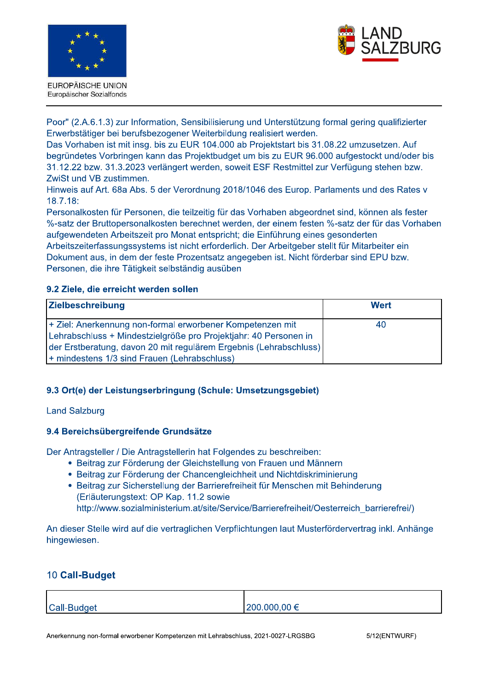

EUROPÄISCHE UNION Europäischer Sozialfonds



Poor" (2.A.6.1.3) zur Information, Sensibilisierung und Unterstützung formal gering qualifizierter Erwerbstätiger bei berufsbezogener Weiterbildung realisiert werden.

Das Vorhaben ist mit insg. bis zu EUR 104.000 ab Projektstart bis 31.08.22 umzusetzen. Auf begründetes Vorbringen kann das Projektbudget um bis zu EUR 96.000 aufgestockt und/oder bis 31.12.22 bzw. 31.3.2023 verlängert werden, soweit ESF Restmittel zur Verfügung stehen bzw. ZwiSt und VB zustimmen.

Hinweis auf Art. 68a Abs. 5 der Verordnung 2018/1046 des Europ. Parlaments und des Rates v  $18.7.18:$ 

Personalkosten für Personen, die teilzeitig für das Vorhaben abgeordnet sind, können als fester %-satz der Bruttopersonalkosten berechnet werden, der einem festen %-satz der für das Vorhaben aufgewendeten Arbeitszeit pro Monat entspricht; die Einführung eines gesonderten Arbeitszeiterfassungssystems ist nicht erforderlich. Der Arbeitgeber stellt für Mitarbeiter ein Dokument aus, in dem der feste Prozentsatz angegeben ist. Nicht förderbar sind EPU bzw. Personen, die ihre Tätigkeit selbständig ausüben

### 9.2 Ziele, die erreicht werden sollen

| <b>Zielbeschreibung</b>                                           | Wert |  |
|-------------------------------------------------------------------|------|--|
| + Ziel: Anerkennung non-formal erworbener Kompetenzen mit         | 40   |  |
| Lehrabschluss + Mindestzielgröße pro Projektjahr: 40 Personen in  |      |  |
| der Erstberatung, davon 20 mit regulärem Ergebnis (Lehrabschluss) |      |  |
| + mindestens 1/3 sind Frauen (Lehrabschluss)                      |      |  |

# 9.3 Ort(e) der Leistungserbringung (Schule: Umsetzungsgebiet)

### **Land Salzburg**

### 9.4 Bereichsübergreifende Grundsätze

Der Antragsteller / Die Antragstellerin hat Folgendes zu beschreiben:

- Beitrag zur Förderung der Gleichstellung von Frauen und Männern
- Beitrag zur Förderung der Chancengleichheit und Nichtdiskriminierung
- Beitrag zur Sicherstellung der Barrierefreiheit für Menschen mit Behinderung (Erläuterungstext: OP Kap. 11.2 sowie http://www.sozialministerium.at/site/Service/Barrierefreiheit/Oesterreich barrierefrei/)

An dieser Stelle wird auf die vertraglichen Verpflichtungen laut Musterfördervertrag inkl. Anhänge hingewiesen.

# 10 Call-Budget

| Call-Budget | $ 200.000,00 \in$ |
|-------------|-------------------|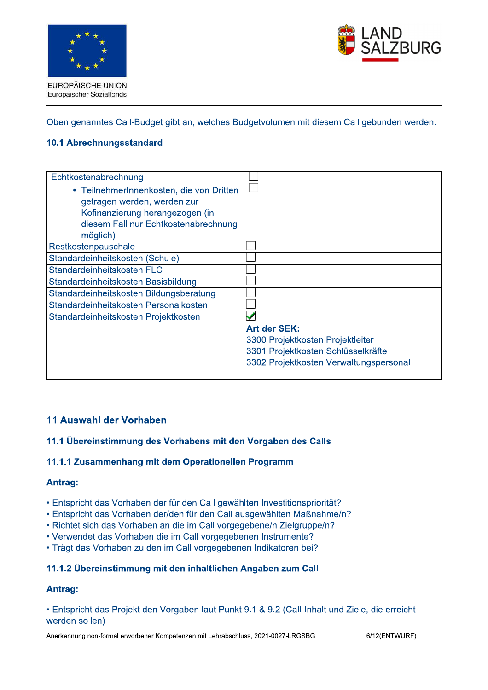



Oben genanntes Call-Budget gibt an, welches Budgetvolumen mit diesem Call gebunden werden.

### 10.1 Abrechnungsstandard

| <b>Art der SEK:</b>                    |
|----------------------------------------|
| 3300 Projektkosten Projektleiter       |
| 3301 Projektkosten Schlüsselkräfte     |
| 3302 Projektkosten Verwaltungspersonal |
|                                        |

### 11 Auswahl der Vorhaben

### 11.1 Übereinstimmung des Vorhabens mit den Vorgaben des Calls

### 11.1.1 Zusammenhang mit dem Operationellen Programm

### Antrag:

- Entspricht das Vorhaben der für den Call gewählten Investitionspriorität?
- Entspricht das Vorhaben der/den für den Call ausgewählten Maßnahme/n?
- Richtet sich das Vorhaben an die im Call vorgegebene/n Zielgruppe/n?
- Verwendet das Vorhaben die im Call vorgegebenen Instrumente?
- Trägt das Vorhaben zu den im Call vorgegebenen Indikatoren bei?

### 11.1.2 Übereinstimmung mit den inhaltlichen Angaben zum Call

### Antrag:

• Entspricht das Projekt den Vorgaben laut Punkt 9.1 & 9.2 (Call-Inhalt und Ziele, die erreicht werden sollen)

Anerkennung non-formal erworbener Kompetenzen mit Lehrabschluss, 2021-0027-LRGSBG

6/12(ENTWURF)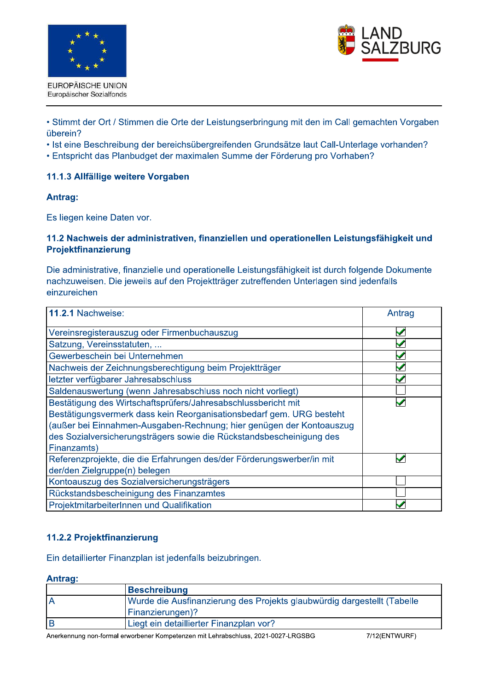





• Stimmt der Ort / Stimmen die Orte der Leistungserbringung mit den im Call gemachten Vorgaben überein?

• Ist eine Beschreibung der bereichsübergreifenden Grundsätze laut Call-Unterlage vorhanden?

• Entspricht das Planbudget der maximalen Summe der Förderung pro Vorhaben?

### 11.1.3 Allfällige weitere Vorgaben

### Antrag:

Es liegen keine Daten vor.

### 11.2 Nachweis der administrativen, finanziellen und operationellen Leistungsfähigkeit und Projektfinanzierung

Die administrative, finanzielle und operationelle Leistungsfähigkeit ist durch folgende Dokumente nachzuweisen. Die jeweils auf den Projektträger zutreffenden Unterlagen sind jedenfalls einzureichen

| 11.2.1 Nachweise:                                                     | Antrag |
|-----------------------------------------------------------------------|--------|
| Vereinsregisterauszug oder Firmenbuchauszug                           |        |
| Satzung, Vereinsstatuten,                                             |        |
| Gewerbeschein bei Unternehmen                                         |        |
| Nachweis der Zeichnungsberechtigung beim Projektträger                |        |
| letzter verfügbarer Jahresabschluss                                   |        |
| Saldenauswertung (wenn Jahresabschluss noch nicht vorliegt)           |        |
| Bestätigung des Wirtschaftsprüfers/Jahresabschlussbericht mit         |        |
| Bestätigungsvermerk dass kein Reorganisationsbedarf gem. URG besteht  |        |
| (außer bei Einnahmen-Ausgaben-Rechnung; hier genügen der Kontoauszug  |        |
| des Sozialversicherungsträgers sowie die Rückstandsbescheinigung des  |        |
| Finanzamts)                                                           |        |
| Referenzprojekte, die die Erfahrungen des/der Förderungswerber/in mit |        |
| der/den Zielgruppe(n) belegen                                         |        |
| Kontoauszug des Sozialversicherungsträgers                            |        |
| Rückstandsbescheinigung des Finanzamtes                               |        |
| ProjektmitarbeiterInnen und Qualifikation                             |        |

# 11.2.2 Projektfinanzierung

Ein detaillierter Finanzplan ist jedenfalls beizubringen.

### Antrag:

| Beschreibung                                                            |
|-------------------------------------------------------------------------|
| Wurde die Ausfinanzierung des Projekts glaubwürdig dargestellt (Tabelle |
| <b>Finanzierungen)?</b>                                                 |
| Liegt ein detaillierter Finanzplan vor?                                 |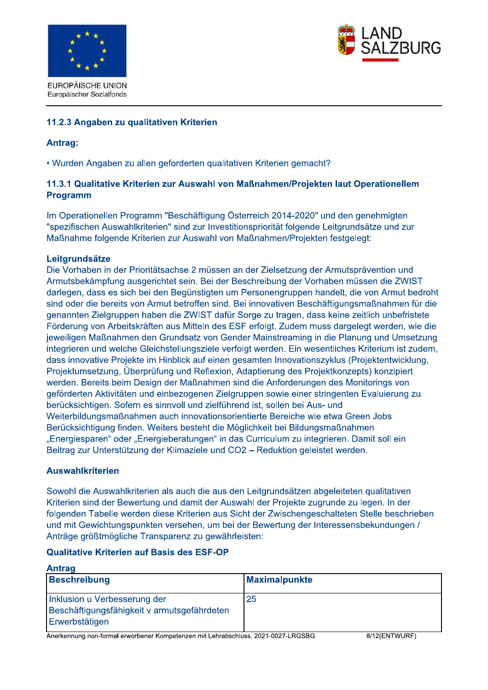



### 11.2.3 Angaben zu gualitativen Kriterien

### **Antrag:**

• Wurden Angaben zu allen geforderten qualitativen Kriterien gemacht?

### 11.3.1 Qualitative Kriterien zur Auswahl von Maßnahmen/Projekten laut Operationellem **Programm**

Im Operationellen Programm "Beschäftigung Österreich 2014-2020" und den genehmigten "spezifischen Auswahlkriterien" sind zur Investitionspriorität folgende Leitgrundsätze und zur Maßnahme folgende Kriterien zur Auswahl von Maßnahmen/Projekten festgelegt:

### Leitgrundsätze

Die Vorhaben in der Prioritätsachse 2 müssen an der Zielsetzung der Armutsprävention und Armutsbekämpfung ausgerichtet sein. Bei der Beschreibung der Vorhaben müssen die ZWIST darlegen, dass es sich bei den Begünstigten um Personengruppen handelt, die von Armut bedroht sind oder die bereits von Armut betroffen sind. Bei innovativen Beschäftigungsmaßnahmen für die genannten Zielgruppen haben die ZWIST dafür Sorge zu tragen, dass keine zeitlich unbefristete Förderung von Arbeitskräften aus Mitteln des ESF erfolgt. Zudem muss dargelegt werden, wie die jeweiligen Maßnahmen den Grundsatz von Gender Mainstreaming in die Planung und Umsetzung integrieren und welche Gleichstellungsziele verfolgt werden. Ein wesentliches Kriterium ist zudem, dass innovative Projekte im Hinblick auf einen gesamten Innovationszyklus (Projektentwicklung, Projektumsetzung, Überprüfung und Reflexion, Adaptierung des Projektkonzepts) konzipiert werden. Bereits beim Design der Maßnahmen sind die Anforderungen des Monitorings von geförderten Aktivitäten und einbezogenen Zielgruppen sowie einer stringenten Evaluierung zu berücksichtigen. Sofern es sinnvoll und zielführend ist, sollen bei Aus- und Weiterbildungsmaßnahmen auch innovationsorientierte Bereiche wie etwa Green Jobs Berücksichtigung finden. Weiters besteht die Möglichkeit bei Bildungsmaßnahmen "Energiesparen" oder "Energieberatungen" in das Curriculum zu integrieren. Damit soll ein Beitrag zur Unterstützung der Klimaziele und CO2 - Reduktion geleistet werden.

### **Auswahlkriterien**

Sowohl die Auswahlkriterien als auch die aus den Leitgrundsätzen abgeleiteten qualitativen Kriterien sind der Bewertung und damit der Auswahl der Projekte zugrunde zu legen. In der folgenden Tabelle werden diese Kriterien aus Sicht der Zwischengeschalteten Stelle beschrieben und mit Gewichtungspunkten versehen, um bei der Bewertung der Interessensbekundungen / Anträge größtmögliche Transparenz zu gewährleisten:

### **Qualitative Kriterien auf Basis des ESF-OP**

| Antrag                                                                                        |                      |  |
|-----------------------------------------------------------------------------------------------|----------------------|--|
| <b>Beschreibung</b>                                                                           | <b>Maximalpunkte</b> |  |
| Inklusion u Verbesserung der<br>Beschäftigungsfähigkeit v armutsgefährdeten<br>Erwerbstätigen | 25                   |  |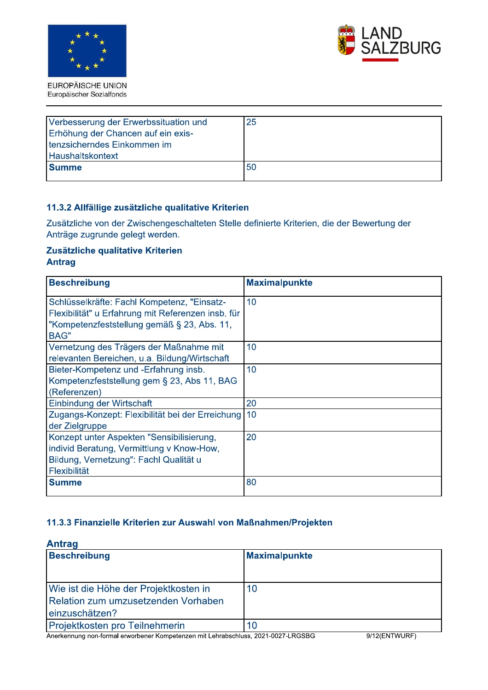



| Verbesserung der Erwerbssituation und<br>Erhöhung der Chancen auf ein exis-<br>tenzsicherndes Einkommen im<br><b>Haushaltskontext</b> | 25                                                                                          |
|---------------------------------------------------------------------------------------------------------------------------------------|---------------------------------------------------------------------------------------------|
| <b>Summe</b>                                                                                                                          | 50                                                                                          |
| 11.3.2 Allfällige zusätzliche qualitative Kriterien                                                                                   | Zusätzliche von der Zwischengeschalteten Stelle definierte Kriterien, die der Bewertung der |
| Anträge zugrunde gelegt werden.                                                                                                       |                                                                                             |
| Zusätzliche qualitative Kriterien<br><b>Antrag</b>                                                                                    |                                                                                             |
| <b>Beschreibung</b>                                                                                                                   | <b>Maximalpunkte</b>                                                                        |

| <b>Summe</b>                                                                                                                                                    | 50                   |
|-----------------------------------------------------------------------------------------------------------------------------------------------------------------|----------------------|
|                                                                                                                                                                 |                      |
| 11.3.2 Allfällige zusätzliche qualitative Kriterien                                                                                                             |                      |
| Zusätzliche von der Zwischengeschalteten Stelle definierte Kriterien, die der Bewertung der<br>Anträge zugrunde gelegt werden.                                  |                      |
| Zusätzliche qualitative Kriterien<br><b>Antrag</b>                                                                                                              |                      |
| <b>Beschreibung</b>                                                                                                                                             | <b>Maximalpunkte</b> |
| Schlüsselkräfte: Fachl Kompetenz, "Einsatz-<br>Flexibilität" u Erfahrung mit Referenzen insb. für<br>"Kompetenzfeststellung gemäß § 23, Abs. 11,<br><b>BAG"</b> | 10                   |
| Vernetzung des Trägers der Maßnahme mit<br>relevanten Bereichen, u.a. Bildung/Wirtschaft                                                                        | 10                   |
| Bieter-Kompetenz und -Erfahrung insb.<br>Kompetenzfeststellung gem § 23, Abs 11, BAG<br>(Referenzen)                                                            | 10                   |
| Einbindung der Wirtschaft                                                                                                                                       | 20                   |
| Zugangs-Konzept: Flexibilität bei der Erreichung<br>der Zielgruppe                                                                                              | 10                   |
| Konzept unter Aspekten "Sensibilisierung,<br>individ Beratung, Vermittlung v Know-How,<br>Bildung, Vernetzung": Fachl Qualität u<br>Flexibilität                | 20                   |
| <b>Summe</b>                                                                                                                                                    | 80                   |

| Konzept unter Aspekten "Sensibilisierung,<br>individ Beratung, Vermittlung v Know-How,<br>Bildung, Vernetzung": Fachl Qualität u<br>Flexibilität | <b>ZU</b>            |
|--------------------------------------------------------------------------------------------------------------------------------------------------|----------------------|
| <b>Summe</b>                                                                                                                                     | 80                   |
|                                                                                                                                                  |                      |
| 11.3.3 Finanzielle Kriterien zur Auswahl von Maßnahmen/Projekten<br><b>Antrag</b><br><b>Beschreibung</b>                                         | <b>Maximalpunkte</b> |
|                                                                                                                                                  |                      |
| Wie ist die Höhe der Projektkosten in                                                                                                            | 10                   |
| Relation zum umzusetzenden Vorhaben                                                                                                              |                      |
| einzuschätzen?                                                                                                                                   |                      |

Anerkennung non-formal erworbener Kompetenzen mit Lenrabschluss, 2021-0027-LRGSBG in the SATIZ(Er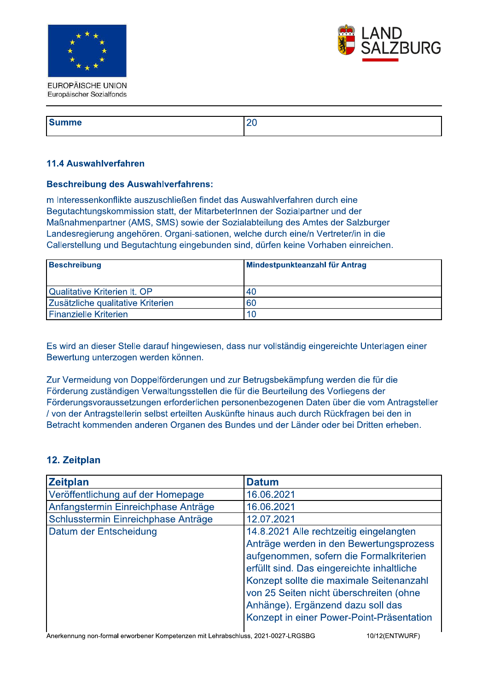



| l e<br>anne i<br>. . |  |
|----------------------|--|
|                      |  |

### 11.4 Auswahlverfahren

### **Beschreibung des Auswahlverfahrens:**

m Interessenkonflikte auszuschließen findet das Auswahlverfahren durch eine Begutachtungskommission statt, der MitarbeterInnen der Sozialpartner und der Maßnahmenpartner (AMS, SMS) sowie der Sozialabteilung des Amtes der Salzburger Landesregierung angehören. Organi-sationen, welche durch eine/n Vertreter/in in die Callerstellung und Begutachtung eingebunden sind, dürfen keine Vorhaben einreichen.

| Beschreibung                        | Mindestpunkteanzahl für Antrag |
|-------------------------------------|--------------------------------|
| <b>Qualitative Kriterien It. OP</b> | 40                             |
| Zusätzliche qualitative Kriterien   | 60                             |
| <b>Finanzielle Kriterien</b>        | 10                             |

Es wird an dieser Stelle darauf hingewiesen, dass nur vollständig eingereichte Unterlagen einer Bewertung unterzogen werden können.

Zur Vermeidung von Doppelförderungen und zur Betrugsbekämpfung werden die für die Förderung zuständigen Verwaltungsstellen die für die Beurteilung des Vorliegens der Förderungsvoraussetzungen erforderlichen personenbezogenen Daten über die vom Antragsteller / von der Antragstellerin selbst erteilten Auskünfte hinaus auch durch Rückfragen bei den in Betracht kommenden anderen Organen des Bundes und der Länder oder bei Dritten erheben.

# 12. Zeitplan

| <b>Zeitplan</b>                     | <b>Datum</b>                               |
|-------------------------------------|--------------------------------------------|
| Veröffentlichung auf der Homepage   | 16.06.2021                                 |
| Anfangstermin Einreichphase Anträge | 16.06.2021                                 |
| Schlusstermin Einreichphase Anträge | 12.07.2021                                 |
| Datum der Entscheidung              | 14.8.2021 Alle rechtzeitig eingelangten    |
|                                     | Anträge werden in den Bewertungsprozess    |
|                                     | aufgenommen, sofern die Formalkriterien    |
|                                     | erfüllt sind. Das eingereichte inhaltliche |
|                                     | Konzept sollte die maximale Seitenanzahl   |
|                                     | von 25 Seiten nicht überschreiten (ohne    |
|                                     | Anhänge). Ergänzend dazu soll das          |
|                                     | Konzept in einer Power-Point-Präsentation  |

Anerkennung non-formal erworbener Kompetenzen mit Lehrabschluss, 2021-0027-LRGSBG

10/12(ENTWURF)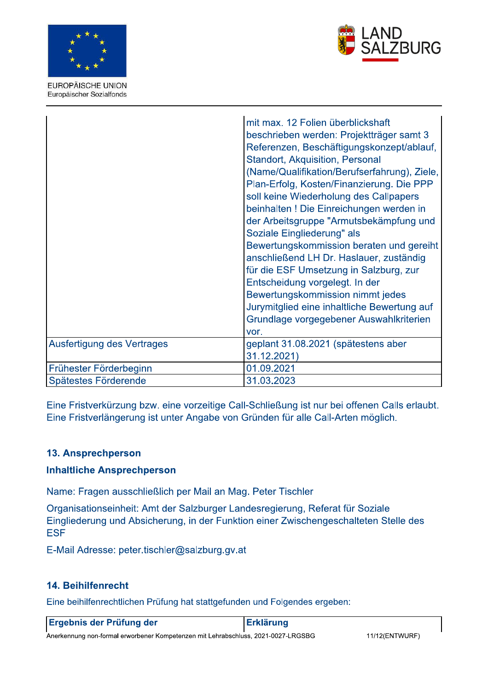



EUROPÄISCHE UNION Europäischer Sozialfonds

|                            | mit max. 12 Folien überblickshaft<br>beschrieben werden: Projektträger samt 3<br>Referenzen, Beschäftigungskonzept/ablauf,<br><b>Standort, Akquisition, Personal</b><br>(Name/Qualifikation/Berufserfahrung), Ziele,<br>Plan-Erfolg, Kosten/Finanzierung. Die PPP<br>soll keine Wiederholung des Callpapers<br>beinhalten ! Die Einreichungen werden in<br>der Arbeitsgruppe "Armutsbekämpfung und<br>Soziale Eingliederung" als<br>Bewertungskommission beraten und gereiht<br>anschließend LH Dr. Haslauer, zuständig<br>für die ESF Umsetzung in Salzburg, zur<br>Entscheidung vorgelegt. In der<br>Bewertungskommission nimmt jedes<br>Jurymitglied eine inhaltliche Bewertung auf<br>Grundlage vorgegebener Auswahlkriterien<br>vor. |
|----------------------------|-------------------------------------------------------------------------------------------------------------------------------------------------------------------------------------------------------------------------------------------------------------------------------------------------------------------------------------------------------------------------------------------------------------------------------------------------------------------------------------------------------------------------------------------------------------------------------------------------------------------------------------------------------------------------------------------------------------------------------------------|
| Ausfertigung des Vertrages | geplant 31.08.2021 (spätestens aber<br>31.12.2021)                                                                                                                                                                                                                                                                                                                                                                                                                                                                                                                                                                                                                                                                                        |
| Frühester Förderbeginn     | 01.09.2021                                                                                                                                                                                                                                                                                                                                                                                                                                                                                                                                                                                                                                                                                                                                |
| Spätestes Förderende       | 31.03.2023                                                                                                                                                                                                                                                                                                                                                                                                                                                                                                                                                                                                                                                                                                                                |

Eine Fristverkürzung bzw. eine vorzeitige Call-Schließung ist nur bei offenen Calls erlaubt. Eine Fristverlängerung ist unter Angabe von Gründen für alle Call-Arten möglich.

# 13. Ansprechperson

# **Inhaltliche Ansprechperson**

Name: Fragen ausschließlich per Mail an Mag. Peter Tischler

Organisationseinheit: Amt der Salzburger Landesregierung, Referat für Soziale Eingliederung und Absicherung, in der Funktion einer Zwischengeschalteten Stelle des **ESF** 

E-Mail Adresse: peter.tischler@salzburg.gv.at

# 14. Beihilfenrecht

Eine beihilfenrechtlichen Prüfung hat stattgefunden und Folgendes ergeben:

| <b>Ergebnis der Prüfung der</b> | Erklärung |
|---------------------------------|-----------|
|                                 |           |